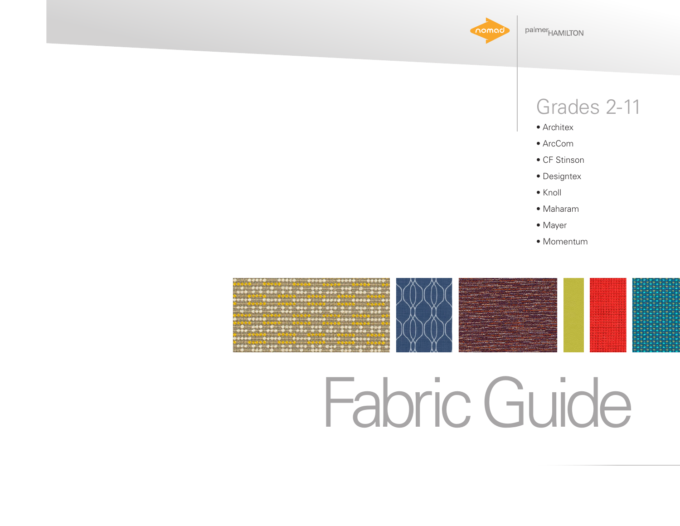

### Grades 2-11

- Architex
- ArcCom
- CF Stinson
- Designtex
- Knoll
- Maharam
- Mayer
- Momentum



# Fabric Guide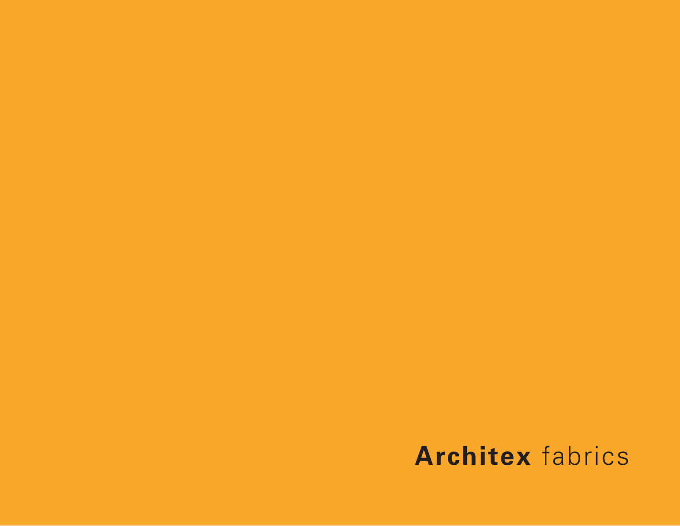# **Architex** fabrics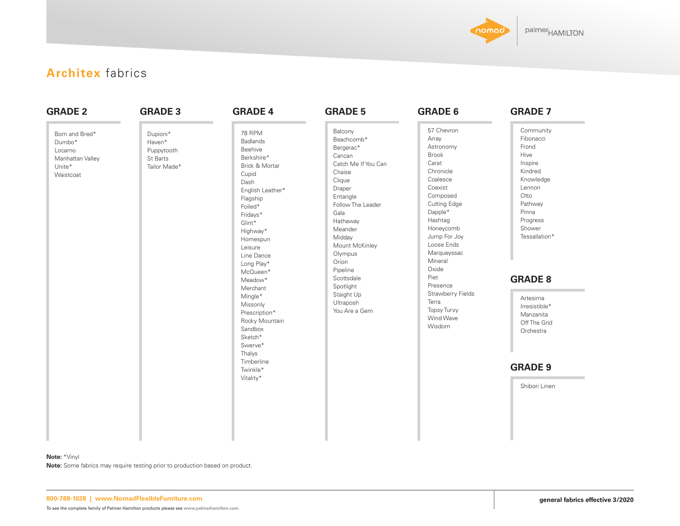

### **Architex** fabrics

| <b>GRADE 2</b><br>Born and Bred*<br>Dumbo*<br>Locarno<br>Manhattan Valley<br>Unite*<br>Waistcoat | <b>GRADE 3</b><br>Dupioni*<br>Haven*<br>Puppytooth<br>St Barts<br>Tailor Made* | <b>GRADE 4</b><br><b>78 RPM</b><br><b>Badlands</b><br>Beehive<br>Berkshire*<br>Brick & Mortar<br>Cupid<br>Dash<br>English Leather*<br>Flagship<br>Foiled*<br>Fridays*<br>Glint*<br>Highway*<br>Homespun<br>Leisure<br>Line Dance<br>Long Play*<br>McQueen*<br>Meadow*<br>Merchant<br>Mingle*<br>Missonly<br>Prescription*<br>Rocky Mountain<br>Sandbox<br>Sketch*<br>Swerve*<br>Thalys<br>Timberline | <b>GRADE 5</b><br>Balcony<br>Beachcomb*<br>Bergerac*<br>Cancan<br>Catch Me If You Can<br>Chaise<br>Clique<br>Draper<br>Entangle<br>Follow The Leader<br>Gala<br>Hathaway<br>Meander<br>Midday<br>Mount McKinley<br>Olympus<br>Orion<br>Pipeline<br>Scottsdale<br>Spotlight<br>Staight Up<br>Ultraposh<br>You Are a Gem | <b>GRADE 6</b><br>57 Chevron<br>Array<br>Astronomy<br><b>Brook</b><br>Carat<br>Chronicle<br>Coalesce<br>Coexist<br>Composed<br><b>Cutting Edge</b><br>Dapple*<br>Hashtag<br>Honeycomb<br>Jump For Joy<br>Loose Ends<br>Marqueyssac<br>Mineral<br>Oxide<br>Piet<br>Presence<br>Strawberry Fields<br>Terra<br><b>Topsy Turvy</b><br>Wind Wave<br>Wisdom | <b>GRADE 7</b><br>Community<br>Fibonacci<br>Frond<br>Hive<br>Inspire<br>Kindred<br>Knowledge<br>Lennon<br>Otto<br>Pathway<br>Pinna<br>Progress<br>Shower<br>Tessallation*<br><b>GRADE 8</b><br>Artesima<br>Irresistible*<br>Manzanita<br>Off The Grid<br>Orchestra |
|--------------------------------------------------------------------------------------------------|--------------------------------------------------------------------------------|------------------------------------------------------------------------------------------------------------------------------------------------------------------------------------------------------------------------------------------------------------------------------------------------------------------------------------------------------------------------------------------------------|------------------------------------------------------------------------------------------------------------------------------------------------------------------------------------------------------------------------------------------------------------------------------------------------------------------------|-------------------------------------------------------------------------------------------------------------------------------------------------------------------------------------------------------------------------------------------------------------------------------------------------------------------------------------------------------|--------------------------------------------------------------------------------------------------------------------------------------------------------------------------------------------------------------------------------------------------------------------|
|                                                                                                  |                                                                                | Twinkle*<br>Vitality*                                                                                                                                                                                                                                                                                                                                                                                |                                                                                                                                                                                                                                                                                                                        |                                                                                                                                                                                                                                                                                                                                                       | <b>GRADE 9</b><br>Shibori Linen                                                                                                                                                                                                                                    |

#### **Note:** \*Vinyl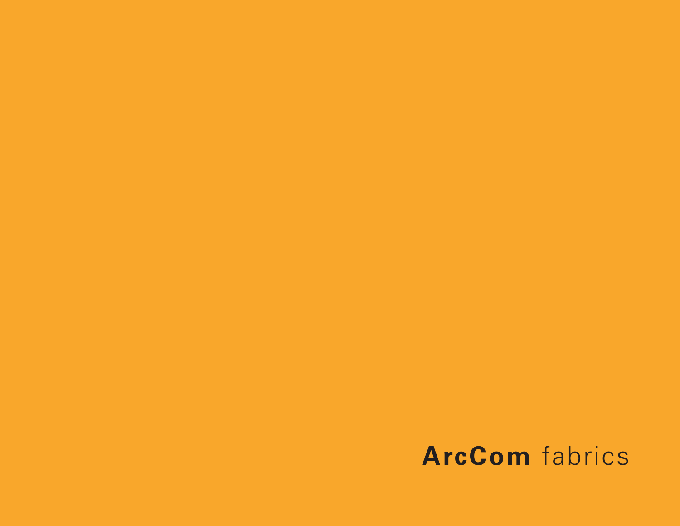# **ArcCom** fabrics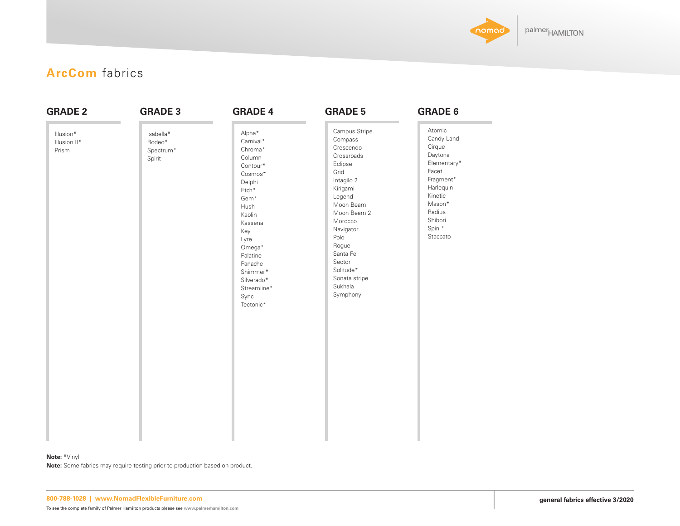

### **ArcCom** fabrics

| <b>GRADE 2</b>                     | <b>GRADE 3</b>                             | <b>GRADE 4</b>                                                                                                                                                                                                                                      | <b>GRADE 5</b>                                                                                                                                                                                                                                             | <b>GRADE 6</b>                                                                                                                                              |
|------------------------------------|--------------------------------------------|-----------------------------------------------------------------------------------------------------------------------------------------------------------------------------------------------------------------------------------------------------|------------------------------------------------------------------------------------------------------------------------------------------------------------------------------------------------------------------------------------------------------------|-------------------------------------------------------------------------------------------------------------------------------------------------------------|
| Illusion*<br>Illusion II*<br>Prism | Isabella*<br>Rodeo*<br>Spectrum*<br>Spirit | Alpha*<br>Carnival*<br>Chroma*<br>Column<br>Contour*<br>$Cosmos*$<br>Delphi<br>$\mathsf{Etch}^*$<br>Gem*<br>Hush<br>Kaolin<br>Kassena<br>Key<br>Lyre<br>Omega*<br>Palatine<br>Panache<br>Shimmer*<br>Silverado*<br>Streamline*<br>Sync<br>Tectonic* | Campus Stripe<br>Compass<br>Crescendo<br>Crossroads<br>Eclipse<br>Grid<br>Intagilo 2<br>Kirigami<br>Legend<br>Moon Beam<br>Moon Beam 2<br>Morocco<br>Navigator<br>Polo<br>Rogue<br>Santa Fe<br>Sector<br>Solitude*<br>Sonata stripe<br>Sukhala<br>Symphony | Atomic<br>Candy Land<br>Cirque<br>Daytona<br>Elementary*<br>Facet<br>Fragment*<br>Harlequin<br>Kinetic<br>Mason*<br>Radius<br>Shibori<br>Spin *<br>Staccato |

#### **Note:** \*Vinyl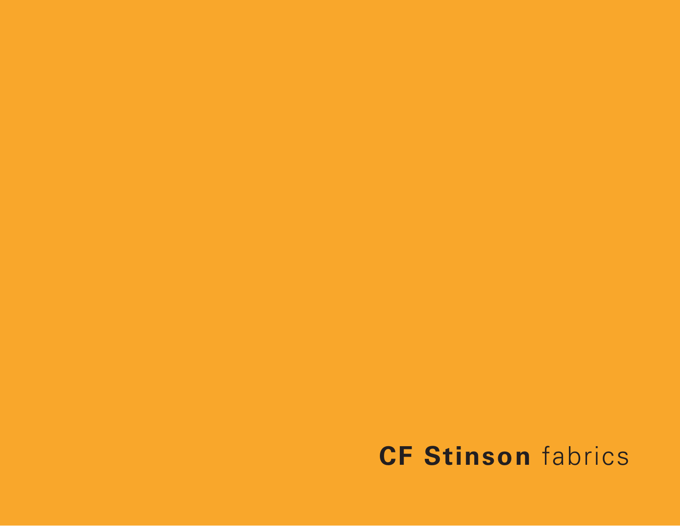# **CF Stinson** fabrics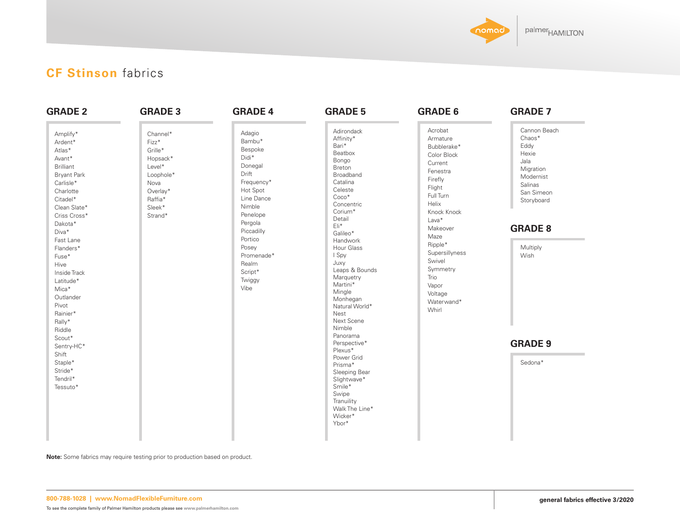

### **CF Stinson** fabrics

| <b>GRADE 2</b>                                                                                                                                                                                                                                                                                                               | <b>GRADE 3</b>                                                                                                      | <b>GRADE 4</b>                                                                                                                                                                                                          | <b>GRADE 5</b>                                                                                                                                                                                                                                                                                                                                 | <b>GRADE 6</b>                                                                                                                                                                                                                                                        | <b>GRADE 7</b>                                                                                                                                         |
|------------------------------------------------------------------------------------------------------------------------------------------------------------------------------------------------------------------------------------------------------------------------------------------------------------------------------|---------------------------------------------------------------------------------------------------------------------|-------------------------------------------------------------------------------------------------------------------------------------------------------------------------------------------------------------------------|------------------------------------------------------------------------------------------------------------------------------------------------------------------------------------------------------------------------------------------------------------------------------------------------------------------------------------------------|-----------------------------------------------------------------------------------------------------------------------------------------------------------------------------------------------------------------------------------------------------------------------|--------------------------------------------------------------------------------------------------------------------------------------------------------|
| Amplify*<br>Ardent*<br>Atlas*<br>Avant*<br><b>Brilliant</b><br><b>Bryant Park</b><br>Carlisle*<br>Charlotte<br>Citadel*<br>Clean Slate*<br>Criss Cross*<br>Dakota*<br>Diva*<br>Fast Lane<br>Flanders*<br>Fuse*<br>Hive<br>Inside Track<br>Latitude*<br>Mica*<br>Outlander<br>Pivot<br>Rainier*<br>Rally*<br>Riddle<br>Scout* | Channel*<br>Fizz*<br>Grille*<br>Hopsack*<br>Level*<br>Loophole*<br>Nova<br>Overlay*<br>Raffia*<br>Sleek*<br>Strand* | Adagio<br>Bambu*<br>Bespoke<br>Didi*<br>Donegal<br>Drift<br>Frequency*<br>Hot Spot<br>Line Dance<br>Nimble<br>Penelope<br>Pergola<br>Piccadilly<br>Portico<br>Posey<br>Promenade*<br>Realm<br>Script*<br>Twiggy<br>Vibe | Adirondack<br>Affinity*<br>Bari*<br>Beatbox<br>Bongo<br>Breton<br>Broadband<br>Catalina<br>Celeste<br>$Coco*$<br>Concentric<br>Corium*<br>Detail<br>Eli*<br>Galileo*<br>Handwork<br>Hour Glass<br>I Spy<br>Juxy<br>Leaps & Bounds<br>Marquetry<br>Martini*<br>Mingle<br>Monhegan<br>Natural World*<br>Nest<br>Next Scene<br>Nimble<br>Panorama | Acrobat<br>Armature<br>Bubblerake*<br>Color Block<br>Current<br>Fenestra<br>Firefly<br>Flight<br>Full Turn<br>Helix<br>Knock Knock<br>Lava*<br>Makeover<br>Maze<br>Ripple*<br>Supersillyness<br>Swivel<br>Symmetry<br>Trio<br>Vapor<br>Voltage<br>Waterwand*<br>Whirl | Cannon Beach<br>Chaos*<br>Eddy<br>Hexie<br>Jala<br>Migration<br>Modernist<br>Salinas<br>San Simeon<br>Storyboard<br><b>GRADE 8</b><br>Multiply<br>Wish |
| Sentry-HC*<br>Shift                                                                                                                                                                                                                                                                                                          |                                                                                                                     |                                                                                                                                                                                                                         | Perspective*<br>Plexus*                                                                                                                                                                                                                                                                                                                        |                                                                                                                                                                                                                                                                       | <b>GRADE 9</b>                                                                                                                                         |
| Staple*<br>Stride*<br>Tendril*<br>Tessuto*                                                                                                                                                                                                                                                                                   |                                                                                                                     |                                                                                                                                                                                                                         | Power Grid<br>Prisma*<br>Sleeping Bear<br>Slightwave*<br>Smile*<br>Swipe<br>Tranuility<br>Walk The Line*<br>Wicker*<br>Ybor*                                                                                                                                                                                                                   |                                                                                                                                                                                                                                                                       | Sedona*                                                                                                                                                |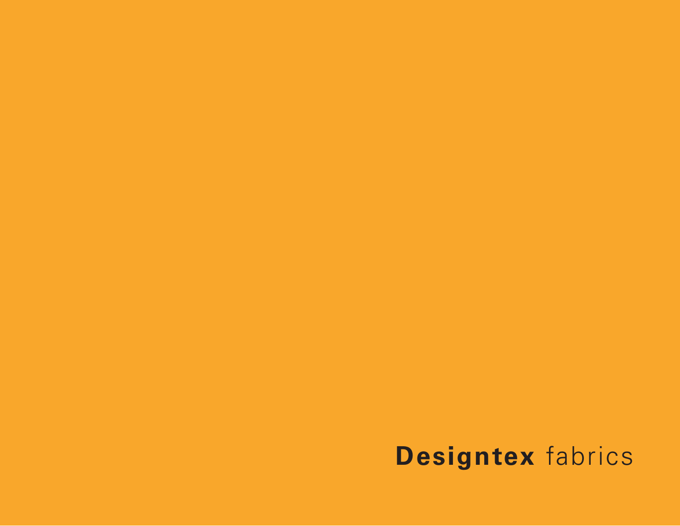# **Designtex** fabrics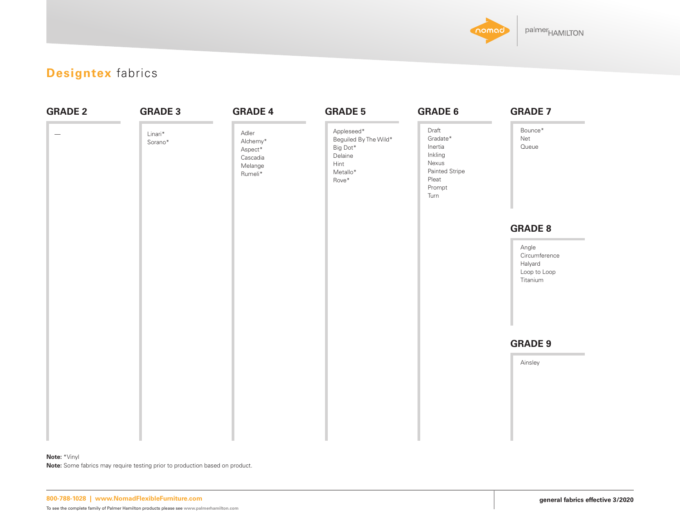

### **Designtex** fabrics

| <b>GRADE 2</b>           | <b>GRADE 3</b>     | <b>GRADE 4</b>                                                          | <b>GRADE 5</b>                                                                          | <b>GRADE 6</b>                                                                                | <b>GRADE 7</b>                                                |
|--------------------------|--------------------|-------------------------------------------------------------------------|-----------------------------------------------------------------------------------------|-----------------------------------------------------------------------------------------------|---------------------------------------------------------------|
| $\overline{\phantom{m}}$ | Linari*<br>Sorano* | Adler<br>Alchemy*<br>${\sf Aspect}^*$<br>Cascadia<br>Melange<br>Rumeli* | Appleseed*<br>Beguiled By The Wild*<br>Big Dot*<br>Delaine<br>Hint<br>Metallo*<br>Rove* | Draft<br>Gradate*<br>Inertia<br>Inkling<br>Nexus<br>Painted Stripe<br>Pleat<br>Prompt<br>Turn | Bounce*<br>Net<br>Queue                                       |
|                          |                    |                                                                         |                                                                                         |                                                                                               | <b>GRADE 8</b>                                                |
|                          |                    |                                                                         |                                                                                         |                                                                                               | Angle<br>Circumference<br>Halyard<br>Loop to Loop<br>Titanium |
|                          |                    |                                                                         |                                                                                         |                                                                                               | <b>GRADE 9</b>                                                |
|                          |                    |                                                                         |                                                                                         |                                                                                               | Ainsley                                                       |
|                          |                    |                                                                         |                                                                                         |                                                                                               |                                                               |
|                          |                    |                                                                         |                                                                                         |                                                                                               |                                                               |
|                          |                    |                                                                         |                                                                                         |                                                                                               |                                                               |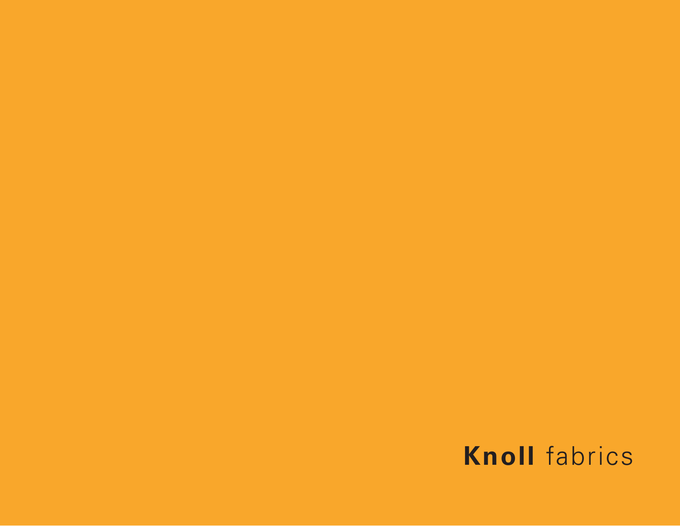# **Knoll** fabrics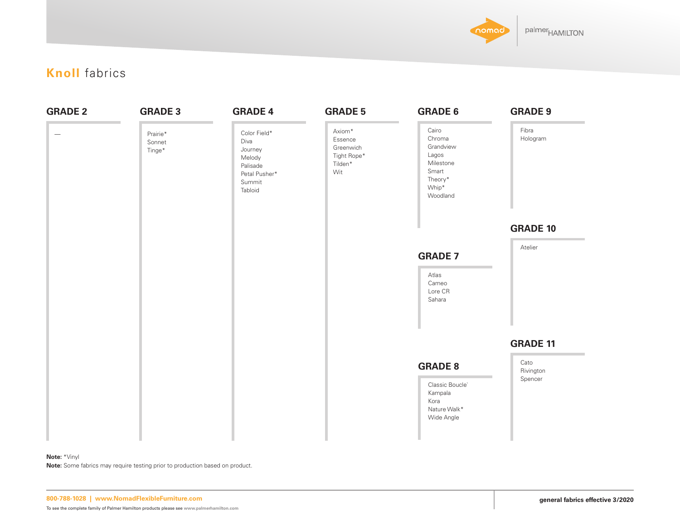

### **Knoll** fabrics

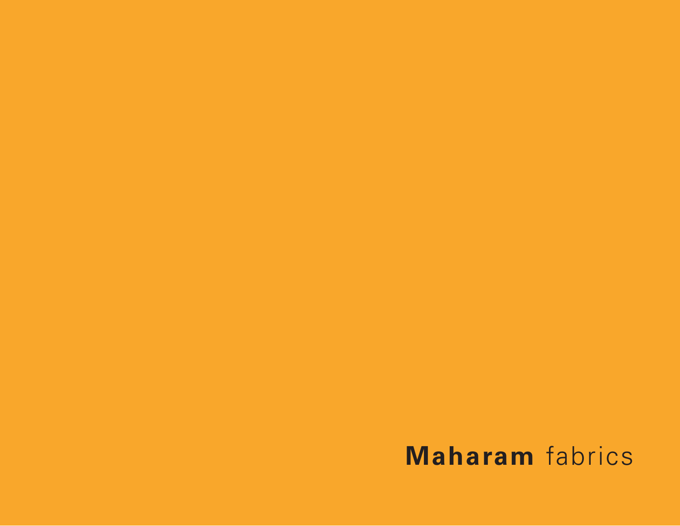# **Maharam** fabrics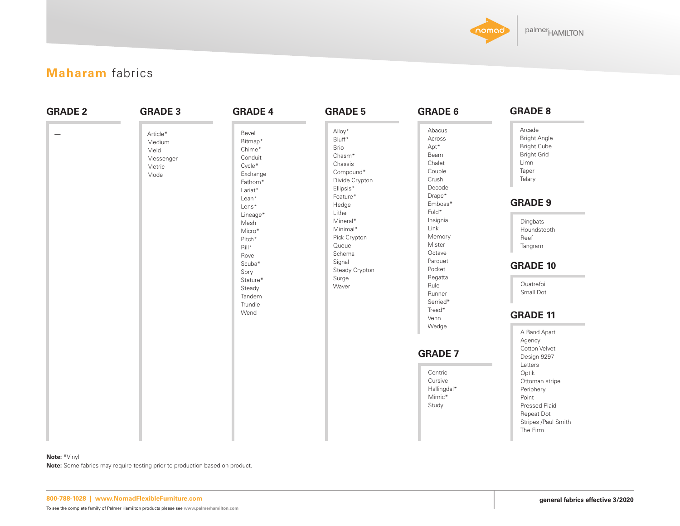

### **Maharam** fabrics

| <b>GRADE 2</b><br>$\hspace{1.0cm} \rule{1.5cm}{0.15cm}$ | <b>GRADE 3</b><br>Article*<br>Medium<br>Meld<br>Messenger<br>Metric<br>Mode | <b>GRADE 4</b><br>Bevel<br>Bitmap*<br>Chime*<br>Conduit<br>Cycle*<br>Exchange<br>Fathom*<br>Lariat*<br>Lean*<br>Lens*<br>Lineage* | <b>GRADE 5</b><br>Alloy*<br>Bluff*<br><b>Brio</b><br>Chasm <sup>*</sup><br>Chassis<br>Compound*<br>Divide Crypton<br>Ellipsis*<br>Feature*<br>Hedge<br>Lithe<br>Mineral* | <b>GRADE 6</b><br>Abacus<br>Across<br>Apt*<br>Beam<br>Chalet<br>Couple<br>Crush<br>Decode<br>Drape*<br>Emboss*<br>Fold*<br>Insignia | <b>GRADE 8</b><br>Arcade<br><b>Bright Angle</b><br><b>Bright Cube</b><br><b>Bright Grid</b><br>Limn<br>Taper<br>Telary<br><b>GRADE 9</b><br>Dingbats                 |
|---------------------------------------------------------|-----------------------------------------------------------------------------|-----------------------------------------------------------------------------------------------------------------------------------|--------------------------------------------------------------------------------------------------------------------------------------------------------------------------|-------------------------------------------------------------------------------------------------------------------------------------|----------------------------------------------------------------------------------------------------------------------------------------------------------------------|
|                                                         |                                                                             | Mesh<br>Micro*<br>Pitch*<br>Rill*<br>Rove<br>Scuba*<br>Spry<br>Stature*<br>Steady<br>Tandem<br>Trundle<br>Wend                    | Minimal*<br>Pick Crypton<br>Queue<br>Schema<br>Signal<br>Steady Crypton<br>Surge<br>Waver                                                                                | Link<br>Memory<br>Mister<br>Octave<br>Parquet<br>Pocket<br>Regatta<br>Rule<br>Runner<br>Serried*<br>Tread*<br>Venn<br>Wedge         | Houndstooth<br>Reef<br>Tangram<br><b>GRADE 10</b><br>Quatrefoil<br>Small Dot<br><b>GRADE 11</b><br>A Band Apart                                                      |
|                                                         |                                                                             |                                                                                                                                   |                                                                                                                                                                          | <b>GRADE 7</b><br>Centric<br>Cursive<br>Hallingdal*<br>Mimic*<br>Study                                                              | Agency<br>Cotton Velvet<br>Design 9297<br>Letters<br>Optik<br>Ottoman stripe<br>Periphery<br>Point<br>Pressed Plaid<br>Repeat Dot<br>Stripes /Paul Smith<br>The Firm |

#### **Note:** \*Vinyl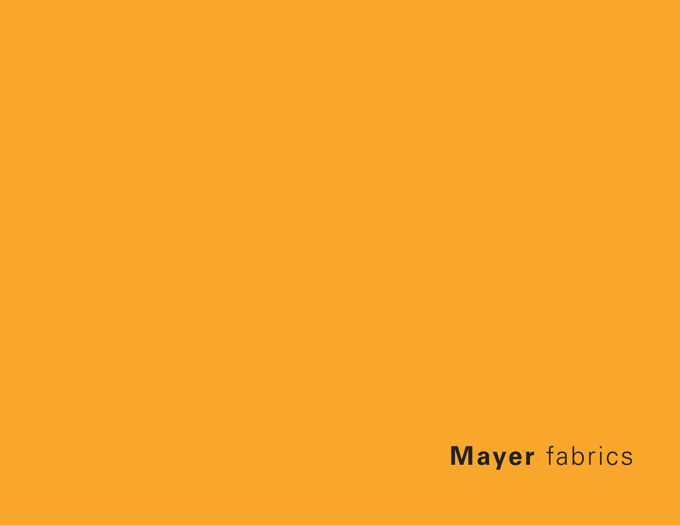# **Mayer** fabrics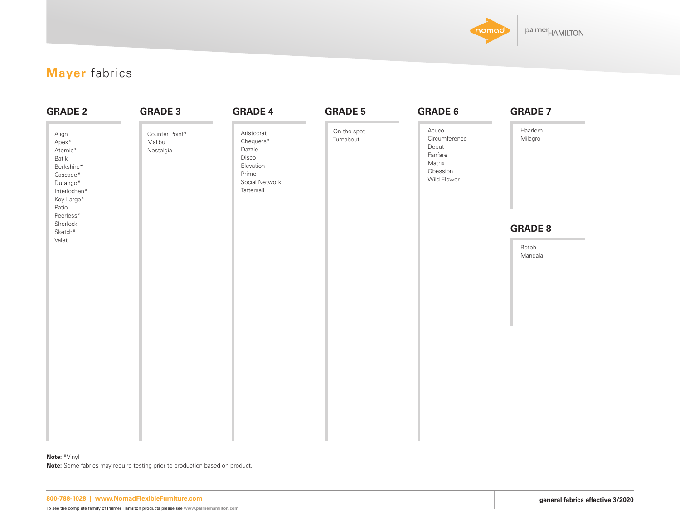

### **Mayer** fabrics

| <b>GRADE 2</b>                                                                                                               | <b>GRADE 3</b>                        | <b>GRADE 4</b>                                                                                   | <b>GRADE 5</b>           | <b>GRADE 6</b>                                                                  | <b>GRADE 7</b>     |
|------------------------------------------------------------------------------------------------------------------------------|---------------------------------------|--------------------------------------------------------------------------------------------------|--------------------------|---------------------------------------------------------------------------------|--------------------|
| Align<br>Apex*<br>Atomic*<br>Batik<br>Berkshire*<br>Cascade*<br>Durango*<br>Interlochen*<br>Key Largo*<br>Patio<br>Peerless* | Counter Point*<br>Malibu<br>Nostalgia | Aristocrat<br>Chequers*<br>Dazzle<br>Disco<br>Elevation<br>Primo<br>Social Network<br>Tattersall | On the spot<br>Turnabout | Acuco<br>Circumference<br>Debut<br>Fanfare<br>Matrix<br>Obession<br>Wild Flower | Haarlem<br>Milagro |
| Sherlock<br>$\mathsf{Sketch}^*$                                                                                              |                                       |                                                                                                  |                          |                                                                                 | <b>GRADE 8</b>     |
| Valet                                                                                                                        |                                       |                                                                                                  |                          |                                                                                 | Boteh<br>Mandala   |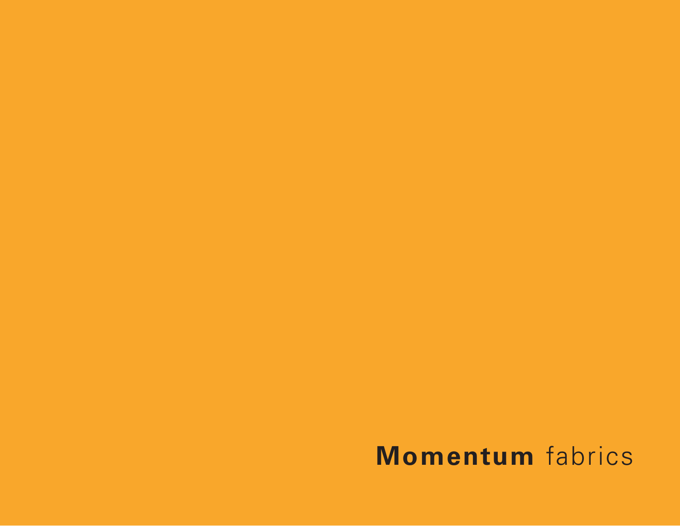# **Momentum** fabrics